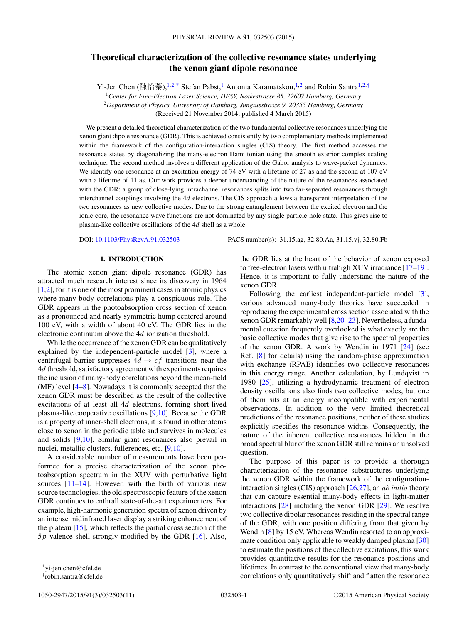# **Theoretical characterization of the collective resonance states underlying the xenon giant dipole resonance**

Yi-Jen Chen (陳怡蓁),<sup>1,2,\*</sup> Stefan Pabst,<sup>1</sup> Antonia Karamatskou,<sup>1,2</sup> and Robin Santra<sup>1,2,†</sup>

<sup>1</sup>*Center for Free-Electron Laser Science, DESY, Notkestrasse 85, 22607 Hamburg, Germany* <sup>2</sup>*Department of Physics, University of Hamburg, Jungiusstrasse 9, 20355 Hamburg, Germany* (Received 21 November 2014; published 4 March 2015)

We present a detailed theoretical characterization of the two fundamental collective resonances underlying the xenon giant dipole resonance (GDR). This is achieved consistently by two complementary methods implemented within the framework of the configuration-interaction singles (CIS) theory. The first method accesses the resonance states by diagonalizing the many-electron Hamiltonian using the smooth exterior complex scaling technique. The second method involves a different application of the Gabor analysis to wave-packet dynamics. We identify one resonance at an excitation energy of 74 eV with a lifetime of 27 as and the second at 107 eV with a lifetime of 11 as. Our work provides a deeper understanding of the nature of the resonances associated with the GDR: a group of close-lying intrachannel resonances splits into two far-separated resonances through interchannel couplings involving the 4*d* electrons. The CIS approach allows a transparent interpretation of the two resonances as new collective modes. Due to the strong entanglement between the excited electron and the ionic core, the resonance wave functions are not dominated by any single particle-hole state. This gives rise to plasma-like collective oscillations of the 4*d* shell as a whole.

DOI: [10.1103/PhysRevA.91.032503](http://dx.doi.org/10.1103/PhysRevA.91.032503) PACS number(s): 31*.*15*.*ag*,* 32*.*80*.*Aa*,* 31*.*15*.*vj*,* 32*.*80*.*Fb

## **I. INTRODUCTION**

The atomic xenon giant dipole resonance (GDR) has attracted much research interest since its discovery in 1964 [\[1,2\]](#page-8-0), for it is one of the most prominent cases in atomic physics where many-body correlations play a conspicuous role. The GDR appears in the photoabsorption cross section of xenon as a pronounced and nearly symmetric hump centered around 100 eV, with a width of about 40 eV. The GDR lies in the electronic continuum above the 4*d* ionization threshold.

While the occurrence of the xenon GDR can be qualitatively explained by the independent-particle model [\[3\]](#page-8-0), where a centrifugal barrier suppresses  $4d \rightarrow \epsilon f$  transitions near the 4*d* threshold, satisfactory agreement with experiments requires the inclusion of many-body correlations beyond the mean-field (MF) level [\[4–8\]](#page-8-0). Nowadays it is commonly accepted that the xenon GDR must be described as the result of the collective excitations of at least all 4*d* electrons, forming short-lived plasma-like cooperative oscillations [\[9,10\]](#page-9-0). Because the GDR is a property of inner-shell electrons, it is found in other atoms close to xenon in the periodic table and survives in molecules and solids [\[9,10\]](#page-9-0). Similar giant resonances also prevail in nuclei, metallic clusters, fullerences, etc. [\[9,10\]](#page-9-0).

A considerable number of measurements have been performed for a precise characterization of the xenon photoabsorption spectrum in the XUV with perturbative light sources  $[11-14]$ . However, with the birth of various new source technologies, the old spectroscopic feature of the xenon GDR continues to enthrall state-of-the-art experimenters. For example, high-harmonic generation spectra of xenon driven by an intense midinfrared laser display a striking enhancement of the plateau [\[15\]](#page-9-0), which reflects the partial cross section of the 5*p* valence shell strongly modified by the GDR [\[16\]](#page-9-0). Also,

the GDR lies at the heart of the behavior of xenon exposed to free-electron lasers with ultrahigh XUV irradiance [\[17–19\]](#page-9-0). Hence, it is important to fully understand the nature of the xenon GDR.

Following the earliest independent-particle model [\[3\]](#page-8-0), various advanced many-body theories have succeeded in reproducing the experimental cross section associated with the xenon GDR remarkably well [\[8,](#page-8-0)[20–23\]](#page-9-0). Nevertheless, a fundamental question frequently overlooked is what exactly are the basic collective modes that give rise to the spectral properties of the xenon GDR. A work by Wendin in 1971 [\[24\]](#page-9-0) (see Ref. [\[8\]](#page-8-0) for details) using the random-phase approximation with exchange (RPAE) identifies two collective resonances in this energy range. Another calculation, by Lundqvist in 1980 [\[25\]](#page-9-0), utilizing a hydrodynamic treatment of electron density oscillations also finds two collective modes, but one of them sits at an energy incompatible with experimental observations. In addition to the very limited theoretical predictions of the resonance positions, neither of these studies explicitly specifies the resonance widths. Consequently, the nature of the inherent collective resonances hidden in the broad spectral blur of the xenon GDR still remains an unsolved question.

The purpose of this paper is to provide a thorough characterization of the resonance substructures underlying the xenon GDR within the framework of the configurationinteraction singles (CIS) approach [\[26,27\]](#page-9-0), an *ab initio* theory that can capture essential many-body effects in light-matter interactions [\[28\]](#page-9-0) including the xenon GDR [\[29\]](#page-9-0). We resolve two collective dipolar resonances residing in the spectral range of the GDR, with one position differing from that given by Wendin [\[8\]](#page-8-0) by 15 eV. Whereas Wendin resorted to an approximate condition only applicable to weakly damped plasma [\[30\]](#page-9-0) to estimate the positions of the collective excitations, this work provides quantitative results for the resonance positions and lifetimes. In contrast to the conventional view that many-body correlations only quantitatively shift and flatten the resonance

<sup>\*</sup>yi-jen.chen@cfel.de

<sup>†</sup> robin.santra@cfel.de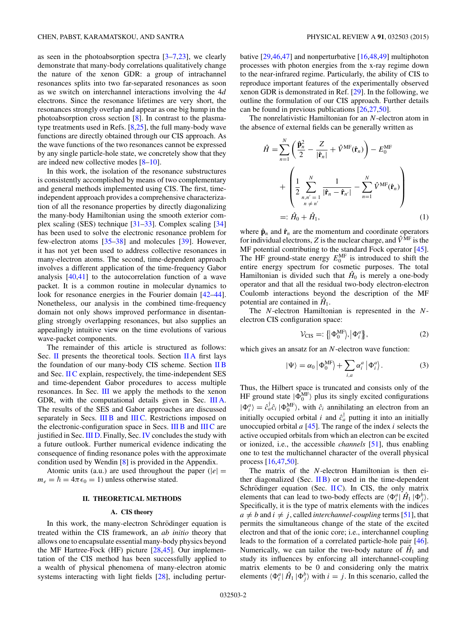<span id="page-1-0"></span>as seen in the photoabsorption spectra  $[3-7,23]$  $[3-7,23]$ , we clearly demonstrate that many-body correlations qualitatively change the nature of the xenon GDR: a group of intrachannel resonances splits into two far-separated resonances as soon as we switch on interchannel interactions involving the 4*d* electrons. Since the resonance lifetimes are very short, the resonances strongly overlap and appear as one big hump in the photoabsorption cross section [\[8\]](#page-8-0). In contrast to the plasmatype treatments used in Refs. [\[8](#page-8-0)[,25\]](#page-9-0), the full many-body wave functions are directly obtained through our CIS approach. As the wave functions of the two resonances cannot be expressed by any single particle-hole state, we concretely show that they are indeed new collective modes [\[8](#page-8-0)[–10\]](#page-9-0).

In this work, the isolation of the resonance substructures is consistently accomplished by means of two complementary and general methods implemented using CIS. The first, timeindependent approach provides a comprehensive characterization of all the resonance properties by directly diagonalizing the many-body Hamiltonian using the smooth exterior complex scaling (SES) technique [\[31–33\]](#page-9-0). Complex scaling [\[34\]](#page-9-0) has been used to solve the electronic resonance problem for few-electron atoms [\[35–38\]](#page-9-0) and molecules [\[39\]](#page-9-0). However, it has not yet been used to address collective resonances in many-electron atoms. The second, time-dependent approach involves a different application of the time-frequency Gabor analysis [\[40,41\]](#page-9-0) to the autocorrelation function of a wave packet. It is a common routine in molecular dynamics to look for resonance energies in the Fourier domain [\[42–44\]](#page-9-0). Nonetheless, our analysis in the combined time-frequency domain not only shows improved performance in disentangling strongly overlapping resonances, but also supplies an appealingly intuitive view on the time evolutions of various wave-packet components.

The remainder of this article is structured as follows: Sec. II presents the theoretical tools. Section IIA first lays the foundation of our many-body CIS scheme. Section [II B](#page-2-0) and Sec. [II C](#page-2-0) explain, respectively, the time-independent SES and time-dependent Gabor procedures to access multiple resonances. In Sec. [III](#page-3-0) we apply the methods to the xenon GDR, with the computational details given in Sec. [III A.](#page-3-0) The results of the SES and Gabor approaches are discussed separately in Secs. [III B](#page-3-0) and [III C.](#page-5-0) Restrictions imposed on the electronic-configuration space in Secs. [III B](#page-3-0) and [III C](#page-5-0) are justified in Sec. [III D.](#page-7-0) Finally, Sec. [IV](#page-7-0) concludes the study with a future outlook. Further numerical evidence indicating the consequence of finding resonance poles with the approximate condition used by Wendin [\[8\]](#page-8-0) is provided in the Appendix.

Atomic units (a.u.) are used throughout the paper ( $|e|$  =  $m_e = \hbar = 4\pi\epsilon_0 = 1$ ) unless otherwise stated.

#### **II. THEORETICAL METHODS**

#### **A. CIS theory**

In this work, the many-electron Schrödinger equation is treated within the CIS framework, an *ab initio* theory that allows one to encapsulate essential many-body physics beyond the MF Hartree-Fock (HF) picture [\[28,45\]](#page-9-0). Our implementation of the CIS method has been successfully applied to a wealth of physical phenomena of many-electron atomic systems interacting with light fields [\[28\]](#page-9-0), including perturbative [\[29,46,47\]](#page-9-0) and nonperturbative [\[16,48,49\]](#page-9-0) multiphoton processes with photon energies from the x-ray regime down to the near-infrared regime. Particularly, the ability of CIS to reproduce important features of the experimentally observed xenon GDR is demonstrated in Ref. [\[29\]](#page-9-0). In the following, we outline the formulation of our CIS approach. Further details can be found in previous publications [\[26,27,50\]](#page-9-0).

The nonrelativistic Hamiltonian for an *N*-electron atom in the absence of external fields can be generally written as

$$
\hat{H} = \sum_{n=1}^{N} \left( \frac{\hat{\mathbf{p}}_n^2}{2} - \frac{Z}{|\hat{\mathbf{r}}_n|} + \hat{V}^{\text{MF}}(\hat{\mathbf{r}}_n) \right) - E_0^{\text{MF}} \n+ \left( \frac{1}{2} \sum_{\substack{n,n'=1 \\ n \neq n'}}^{N} \frac{1}{|\hat{\mathbf{r}}_n - \hat{\mathbf{r}}_{n'}|} - \sum_{n=1}^{N} \hat{V}^{\text{MF}}(\hat{\mathbf{r}}_n) \right) \n=:\hat{H}_0 + \hat{H}_1,
$$
\n(1)

where  $\hat{\mathbf{p}}_n$  and  $\hat{\mathbf{r}}_n$  are the momentum and coordinate operators for individual electrons,  $Z$  is the nuclear charge, and  $\hat{V}^{\overline{\text{MF}}}$  is the MF potential contributing to the standard Fock operator [\[45\]](#page-9-0). The HF ground-state energy  $E_0^{\text{MF}}$  is introduced to shift the entire energy spectrum for cosmetic purposes. The total Hamiltonian is divided such that  $\hat{H}_0$  is merely a one-body operator and that all the residual two-body electron-electron Coulomb interactions beyond the description of the MF potential are contained in  $H_1$ .

The *N*-electron Hamiltonian is represented in the *N*electron CIS configuration space:

$$
\mathcal{V}_{\text{CIS}} =: \left\{ \left| \Phi_0^{\text{MF}} \right\rangle, \left| \Phi_i^a \right\rangle \right\},\tag{2}
$$

which gives an ansatz for an *N*-electron wave function:

$$
|\Psi\rangle = \alpha_0 \left| \Phi_0^{\text{MF}} \right| + \sum_{i,a} \alpha_i^a \left| \Phi_i^a \right|.
$$
 (3)

Thus, the Hilbert space is truncated and consists only of the HF ground state  $|\Phi_0^{\text{MF}}\rangle$  plus its singly excited configurations  $|\Phi_i^a\rangle = \hat{c}_a^{\dagger} \hat{c}_i | \Phi_0^{\text{MF}} \rangle$ , with  $\hat{c}_i$  annihilating an electron from an initially occupied orbital *i* and  $\hat{c}_a^{\dagger}$  putting it into an initially unoccupied orbital *a* [\[45\]](#page-9-0). The range of the index *i* selects the active occupied orbitals from which an electron can be excited or ionized, i.e., the accessible *channels* [\[51\]](#page-9-0), thus enabling one to test the multichannel character of the overall physical process [\[16,47,50\]](#page-9-0).

The matrix of the *N*-electron Hamiltonian is then either diagonalized (Sec.  $\overline{I}$  IB) or used in the time-dependent Schrödinger equation (Sec.  $\text{IIC}$ ). In CIS, the only matrix elements that can lead to two-body effects are  $\langle \Phi_i^a | \hat{H}_1 | \Phi_j^b \rangle$ . Specifically, it is the type of matrix elements with the indices  $a \neq b$  and  $i \neq j$ , called *interchannel-coupling* terms [\[51\]](#page-9-0), that permits the simultaneous change of the state of the excited electron and that of the ionic core; i.e., interchannel coupling leads to the formation of a correlated particle-hole pair [\[46\]](#page-9-0). Numerically, we can tailor the two-body nature of  $\hat{H}_1$  and study its influences by enforcing all interchannel-coupling matrix elements to be 0 and considering only the matrix elements  $\langle \Phi_i^a | \hat{H}_1 | \Phi_j^b \rangle$  with  $i = j$ . In this scenario, called the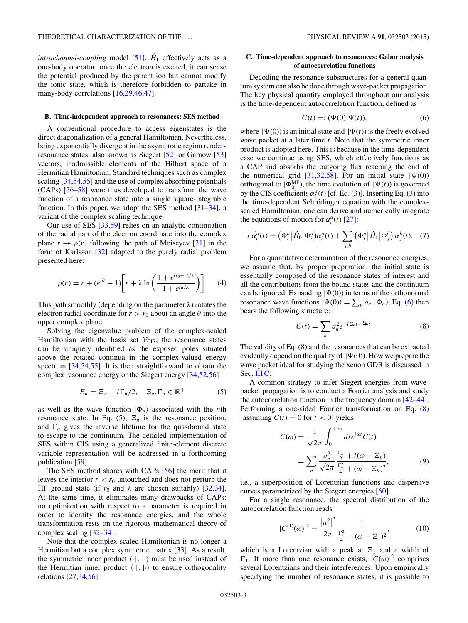<span id="page-2-0"></span>*intrachannel-coupling* model [\[51\]](#page-9-0),  $\hat{H}_1$  effectively acts as a one-body operator: once the electron is excited, it can sense the potential produced by the parent ion but cannot modify the ionic state, which is therefore forbidden to partake in many-body correlations [\[16,29,46,47\]](#page-9-0).

#### **B. Time-independent approach to resonances: SES method**

A conventional procedure to access eigenstates is the direct diagonalization of a general Hamiltonian. Nevertheless, being exponentially divergent in the asymptotic region renders resonance states, also known as Siegert [\[52\]](#page-9-0) or Gamow [\[53\]](#page-9-0) vectors, inadmissible elements of the Hilbert space of a Hermitian Hamiltonian. Standard techniques such as complex scaling [\[34,54,55\]](#page-9-0) and the use of complex absorbing potentials (CAPs) [\[56–58\]](#page-9-0) were thus developed to transform the wave function of a resonance state into a single square-integrable function. In this paper, we adopt the SES method  $[31-34]$ , a variant of the complex scaling technique.

Our use of SES [\[33,59\]](#page-9-0) relies on an analytic continuation of the radial part of the electron coordinate into the complex plane  $r \to \rho(r)$  following the path of Moiseyev [\[31\]](#page-9-0) in the form of Karlsson [\[32\]](#page-9-0) adapted to the purely radial problem presented here:

$$
\rho(r) = r + (e^{i\theta} - 1) \left[ r + \lambda \ln \left( \frac{1 + e^{(r_0 - r)/\lambda}}{1 + e^{r_0/\lambda}} \right) \right].
$$
 (4)

This path smoothly (depending on the parameter *λ*) rotates the electron radial coordinate for  $r > r_0$  about an angle  $\theta$  into the upper complex plane.

Solving the eigenvalue problem of the complex-scaled Hamiltonian with the basis set  $V_{\text{CIS}}$ , the resonance states can be uniquely identified as the exposed poles situated above the rotated continua in the complex-valued energy spectrum [\[34,54,55\]](#page-9-0). It is then straightforward to obtain the complex resonance energy or the Siegert energy [\[34,52,56\]](#page-9-0)

$$
E_n = \Xi_n - i \Gamma_n / 2, \quad \Xi_n, \Gamma_n \in \mathbb{R}^+ \tag{5}
$$

as well as the wave function  $|\Phi_n\rangle$  associated with the *n*th resonance state. In Eq.  $(5)$ ,  $\Xi_n$  is the resonance position, and  $\Gamma_n$  gives the inverse lifetime for the quasibound state to escape to the continuum. The detailed implementation of SES within CIS using a generalized finite-element discrete variable representation will be addressed in a forthcoming publication [\[59\]](#page-9-0).

The SES method shares with CAPs [\[56\]](#page-9-0) the merit that it leaves the interior  $r < r_0$  untouched and does not perturb the HF ground state (if  $r_0$  and  $\lambda$  are chosen suitably) [\[32,34\]](#page-9-0). At the same time, it eliminates many drawbacks of CAPs: no optimization with respect to a parameter is required in order to identify the resonance energies, and the whole transformation rests on the rigorous mathematical theory of complex scaling [\[32–34\]](#page-9-0).

Note that the complex-scaled Hamiltonian is no longer a Hermitian but a complex symmetric matrix [\[33\]](#page-9-0). As a result, the symmetric inner product  $(\cdot |, | \cdot)$  must be used instead of the Hermitian inner product  $\langle \cdot | , | \cdot \rangle$  to ensure orthogonality relations [\[27,34,56\]](#page-9-0).

# **C. Time-dependent approach to resonances: Gabor analysis of autocorrelation functions**

Decoding the resonance substructures for a general quantum system can also be done through wave-packet propagation. The key physical quantity employed throughout our analysis is the time-dependent autocorrelation function, defined as

$$
C(t) =: (\Psi(0)|\Psi(t)), \tag{6}
$$

where  $|\Psi(0)\rangle$  is an initial state and  $|\Psi(t)\rangle$  is the freely evolved wave packet at a later time *t*. Note that the symmetric inner product is adopted here. This is because in the time-dependent case we continue using SES, which effectively functions as a CAP and absorbs the outgoing flux reaching the end of the numerical grid [\[31,32,58\]](#page-9-0). For an initial state  $|\Psi(0)\rangle$ orthogonal to  $|\Phi_0^{\text{MF}}|$ , the time evolution of  $|\Psi(t)\rangle$  is governed by the CIS coefficients  $\alpha_i^a(t)$  [cf. Eq. [\(3\)](#page-1-0)]. Inserting Eq. (3) into the time-dependent Schrödinger equation with the complexscaled Hamiltonian, one can derive and numerically integrate the equations of motion for  $\alpha_i^a(t)$  [\[27\]](#page-9-0):

$$
i \dot{\alpha}_i^a(t) = \left(\Phi_i^a \left| \hat{H}_0 \right| \Phi_i^a\right) \alpha_i^a(t) + \sum_{j,b} \left(\Phi_i^a \left| \hat{H}_1 \right| \Phi_j^b\right) \alpha_j^b(t). \quad (7)
$$

For a quantitative determination of the resonance energies, we assume that, by proper preparation, the initial state is essentially composed of the resonance states of interest and all the contributions from the bound states and the continuum can be ignored. Expanding  $|\Psi(0)\rangle$  in terms of the orthonormal resonance wave functions  $|\Psi(0)\rangle = \sum_n a_n |\Phi_n\rangle$ , Eq. (6) then bears the following structure:

$$
C(t) = \sum_{n} a_n^2 e^{-iE_n t - \frac{\Gamma_n}{2}t}.
$$
 (8)

The validity of Eq.  $(8)$  and the resonances that can be extracted evidently depend on the quality of  $|\Psi(0)\rangle$ . How we prepare the wave packet ideal for studying the xenon GDR is discussed in Sec. [III C.](#page-5-0)

A common strategy to infer Siegert energies from wavepacket propagation is to conduct a Fourier analysis and study the autocorrelation function in the frequency domain [\[42–44\]](#page-9-0). Performing a one-sided Fourier transformation on Eq. (8) [assuming  $C(t) = 0$  for  $t < 0$ ] yields

$$
C(\omega) = \frac{1}{\sqrt{2\pi}} \int_0^{+\infty} dt e^{i\omega t} C(t)
$$

$$
= \sum_n \frac{a_n^2}{\sqrt{2\pi}} \frac{\frac{\Gamma_n}{2} + i(\omega - \Xi_n)}{\frac{\Gamma_n^2}{4} + (\omega - \Xi_n)^2},
$$
(9)

i.e., a superposition of Lorentzian functions and dispersive curves parametrized by the Siegert energies [\[60\]](#page-9-0).

For a single resonance, the spectral distribution of the autocorrelation function reads

$$
|C^{(1)}(\omega)|^2 = \frac{|a_1^2|^2}{2\pi} \frac{1}{\frac{\Gamma_1^2}{4} + (\omega - \Xi_1)^2},
$$
 (10)

which is a Lorentzian with a peak at  $\Xi_1$  and a width of  $\Gamma_1$ . If more than one resonance exists,  $|C(\omega)|^2$  comprises several Lorentzians and their interferences. Upon empirically specifying the number of resonance states, it is possible to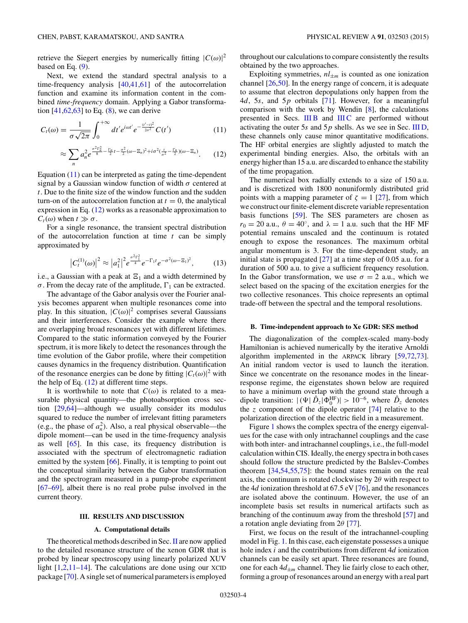<span id="page-3-0"></span>retrieve the Siegert energies by numerically fitting  $|C(\omega)|^2$ based on Eq.  $(9)$ .

Next, we extend the standard spectral analysis to a time-frequency analysis [\[40,41,61\]](#page-9-0) of the autocorrelation function and examine its information content in the combined *time-frequency* domain. Applying a Gabor transformation  $[41, 62, 63]$  to Eq.  $(8)$ , we can derive

$$
C_t(\omega) = \frac{1}{\sigma\sqrt{2\pi}} \int_0^{+\infty} dt' e^{i\omega t'} e^{-\frac{(t'-t)^2}{2\sigma^2}} C(t')
$$
 (11)

$$
\approx \sum_{n} a_n^2 e^{\frac{\sigma^2 \Gamma_n^2}{8} - \frac{\Gamma_n}{2} t - \frac{\sigma^2}{2} (\omega - \Xi_n)^2 + i \sigma^2 (\frac{t}{\sigma^2} - \frac{\Gamma_n}{2}) (\omega - \Xi_n)}.
$$
 (12)

Equation  $(11)$  can be interpreted as gating the time-dependent signal by a Gaussian window function of width *σ* centered at *t*. Due to the finite size of the window function and the sudden turn-on of the autocorrelation function at  $t = 0$ , the analytical expression in Eq. (12) works as a reasonable approximation to  $C_t(\omega)$  when  $t \gg \sigma$ .

For a single resonance, the transient spectral distribution of the autocorrelation function at time *t* can be simply approximated by

$$
\left|C_t^{(1)}(\omega)\right|^2 \approx \left|a_1^2\right|^2 e^{\frac{\sigma^2 \Gamma_1^2}{4}} e^{-\Gamma_1 t} e^{-\sigma^2 (\omega - \Sigma_1)^2},\tag{13}
$$

i.e., a Gaussian with a peak at  $\Xi_1$  and a width determined by  $\sigma$ . From the decay rate of the amplitude,  $\Gamma_1$  can be extracted.

The advantage of the Gabor analysis over the Fourier analysis becomes apparent when multiple resonances come into play. In this situation,  $|C(\omega)|^2$  comprises several Gaussians and their interferences. Consider the example where there are overlapping broad resonances yet with different lifetimes. Compared to the static information conveyed by the Fourier spectrum, it is more likely to detect the resonances through the time evolution of the Gabor profile, where their competition causes dynamics in the frequency distribution. Quantification of the resonance energies can be done by fitting  $|C_t(\omega)|^2$  with the help of Eq.  $(12)$  at different time steps.

It is worthwhile to note that  $C(\omega)$  is related to a measurable physical quantity—the photoabsorption cross section [\[29,64\]](#page-9-0)—although we usually consider its modulus squared to reduce the number of irrelevant fitting parameters (e.g., the phase of  $a_n^2$ ). Also, a real physical observable—the dipole moment—can be used in the time-frequency analysis as well [\[65\]](#page-9-0). In this case, its frequency distribution is associated with the spectrum of electromagnetic radiation emitted by the system [\[66\]](#page-9-0). Finally, it is tempting to point out the conceptual similarity between the Gabor transformation and the spectrogram measured in a pump-probe experiment [\[67–69\]](#page-9-0), albeit there is no real probe pulse involved in the current theory.

#### **III. RESULTS AND DISCUSSION**

#### **A. Computational details**

The theoretical methods described in Sec. [II](#page-1-0) are now applied to the detailed resonance structure of the xenon GDR that is probed by linear spectroscopy using linearly polarized XUV light  $[1,2,11-14]$  $[1,2,11-14]$ . The calculations are done using our XCID package [\[70\]](#page-9-0). A single set of numerical parameters is employed

throughout our calculations to compare consistently the results obtained by the two approaches.

Exploiting symmetries,  $nl_{\pm m}$  is counted as one ionization channel [\[26,50\]](#page-9-0). In the energy range of concern, it is adequate to assume that electron depopulations only happen from the 4*d*, 5*s*, and 5*p* orbitals [\[71\]](#page-9-0). However, for a meaningful comparison with the work by Wendin [\[8\]](#page-8-0), the calculations presented in Secs. III B and [III C](#page-5-0) are performed without activating the outer 5*s* and 5*p* shells. As we see in Sec. [III D,](#page-7-0) these channels only cause minor quantitative modifications. The HF orbital energies are slightly adjusted to match the experimental binding energies. Also, the orbitals with an energy higher than 15 a.u. are discarded to enhance the stability of the time propagation.

The numerical box radially extends to a size of 150 a.u. and is discretized with 1800 nonuniformly distributed grid points with a mapping parameter of  $\zeta = 1$  [\[27\]](#page-9-0), from which we construct our finite-element discrete variable representation basis functions [\[59\]](#page-9-0). The SES parameters are chosen as  $r_0 = 20$  a.u.,  $\theta = 40^\circ$ , and  $\lambda = 1$  a.u. such that the HF MF potential remains unscaled and the continuum is rotated enough to expose the resonances. The maximum orbital angular momentum is 3. For the time-dependent study, an initial state is propagated  $[27]$  at a time step of 0.05 a.u. for a duration of 500 a.u. to give a sufficient frequency resolution. In the Gabor transformation, we use  $\sigma = 2$  a.u., which we select based on the spacing of the excitation energies for the two collective resonances. This choice represents an optimal trade-off between the spectral and the temporal resolutions.

#### **B. Time-independent approach to Xe GDR: SES method**

The diagonalization of the complex-scaled many-body Hamiltonian is achieved numerically by the iterative Arnoldi algorithm implemented in the ARPACK library [\[59](#page-9-0)[,72,73\]](#page-10-0). An initial random vector is used to launch the iteration. Since we concentrate on the resonance modes in the linearresponse regime, the eigenstates shown below are required to have a minimum overlap with the ground state through a dipole transition:  $|(\Psi | \hat{D}_z | \Phi_0^{\text{HF}})| > 10^{-6}$ , where  $\hat{D}_z$  denotes the *z* component of the dipole operator [\[74\]](#page-10-0) relative to the polarization direction of the electric field in a measurement.

Figure [1](#page-4-0) shows the complex spectra of the energy eigenvalues for the case with only intrachannel couplings and the case with both inter- and intrachannel couplings, i.e., the full-model calculation within CIS. Ideally, the energy spectra in both cases should follow the structure predicted by the Balslev-Combes theorem [\[34,54,55,](#page-9-0)[75\]](#page-10-0): the bound states remain on the real axis, the continuum is rotated clockwise by 2*θ* with respect to the 4*d* ionization threshold at 67.5 eV [\[76\]](#page-10-0), and the resonances are isolated above the continuum. However, the use of an incomplete basis set results in numerical artifacts such as branching of the continuum away from the threshold [\[57\]](#page-9-0) and a rotation angle deviating from 2*θ* [\[77\]](#page-10-0).

First, we focus on the result of the intrachannel-coupling model in Fig. [1.](#page-4-0) In this case, each eigenstate possesses a unique hole index *i* and the contributions from different 4*d* ionization channels can be easily set apart. Three resonances are found, one for each  $4d_{\pm m}$  channel. They lie fairly close to each other, forming a group of resonances around an energy with a real part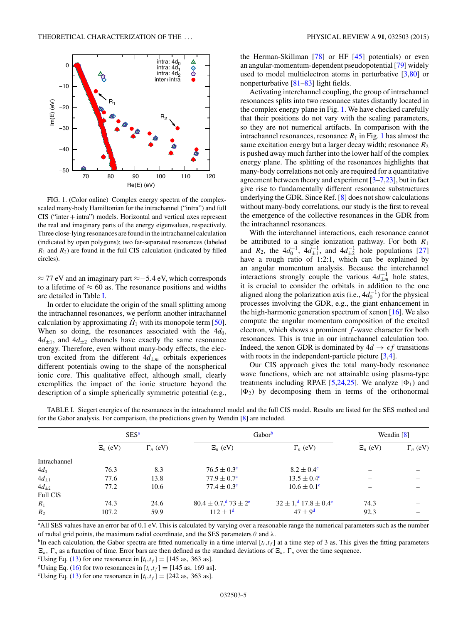<span id="page-4-0"></span>

FIG. 1. (Color online) Complex energy spectra of the complexscaled many-body Hamiltonian for the intrachannel ("intra") and full CIS ("inter + intra") models. Horizontal and vertical axes represent the real and imaginary parts of the energy eigenvalues, respectively. Three close-lying resonances are found in the intrachannel calculation (indicated by open polygons); two far-separated resonances (labeled  $R_1$  and  $R_2$ ) are found in the full CIS calculation (indicated by filled circles).

≈ 77 eV and an imaginary part ≈−5*.*4 eV, which corresponds to a lifetime of  $\approx 60$  as. The resonance positions and widths are detailed in Table I.

In order to elucidate the origin of the small splitting among the intrachannel resonances, we perform another intrachannel calculation by approximating  $\hat{H}_1$  with its monopole term [\[50\]](#page-9-0). When so doing, the resonances associated with the  $4d_0$ ,  $4d_{+1}$ , and  $4d_{+2}$  channels have exactly the same resonance energy. Therefore, even without many-body effects, the electron excited from the different  $4d_{\pm m}$  orbitals experiences different potentials owing to the shape of the nonspherical ionic core. This qualitative effect, although small, clearly exemplifies the impact of the ionic structure beyond the description of a simple spherically symmetric potential (e.g., the Herman-Skillman [\[78\]](#page-10-0) or HF [\[45\]](#page-9-0) potentials) or even an angular-momentum-dependent pseudopotential [\[79\]](#page-10-0) widely used to model multielectron atoms in perturbative  $[3,80]$  $[3,80]$  or nonperturbative [\[81–83\]](#page-10-0) light fields.

Activating interchannel coupling, the group of intrachannel resonances splits into two resonance states distantly located in the complex energy plane in Fig. 1. We have checked carefully that their positions do not vary with the scaling parameters, so they are not numerical artifacts. In comparison with the intrachannel resonances, resonance  $R_1$  in Fig. 1 has almost the same excitation energy but a larger decay width; resonance  $R_2$ is pushed away much farther into the lower half of the complex energy plane. The splitting of the resonances highlights that many-body correlations not only are required for a quantitative agreement between theory and experiment [\[3–7,](#page-8-0)[23\]](#page-9-0), but in fact give rise to fundamentally different resonance substructures underlying the GDR. Since Ref. [\[8\]](#page-8-0) does not show calculations without many-body correlations, our study is the first to reveal the emergence of the collective resonances in the GDR from the intrachannel resonances.

With the interchannel interactions, each resonance cannot be attributed to a single ionization pathway. For both *R*<sup>1</sup> and *R*<sub>2</sub>, the  $4d_0^{-1}$ ,  $4d_{\pm 1}^{-1}$ , and  $4d_{\pm 2}^{-1}$  hole populations [\[27\]](#page-9-0) have a rough ratio of 1:2:1, which can be explained by an angular momentum analysis. Because the interchannel interactions strongly couple the various  $4d_{\pm m}^{-1}$  hole states, it is crucial to consider the orbitals in addition to the one aligned along the polarization axis (i.e.,  $4d_0^{-1}$ ) for the physical processes involving the GDR, e.g., the giant enhancement in the high-harmonic generation spectrum of xenon [\[16\]](#page-9-0). We also compute the angular momentum composition of the excited electron, which shows a prominent *f* -wave character for both resonances. This is true in our intrachannel calculation too. Indeed, the xenon GDR is dominated by  $4d \rightarrow \epsilon f$  transitions with roots in the independent-particle picture [\[3,4\]](#page-8-0).

Our CIS approach gives the total many-body resonance wave functions, which are not attainable using plasma-type treatments including RPAE [\[5,](#page-8-0)[24,25\]](#page-9-0). We analyze  $|\Phi_1\rangle$  and  $|\Phi_2|$  by decomposing them in terms of the orthonormal

|                 | SES <sup>a</sup> |                 | Gabor <sup>b</sup>                                     |                                                         | Wendin $[8]$ |                 |
|-----------------|------------------|-----------------|--------------------------------------------------------|---------------------------------------------------------|--------------|-----------------|
|                 | $\Xi_n$ (eV)     | $\Gamma_n$ (eV) | $\Xi_n$ (eV)                                           | $\Gamma_n$ (eV)                                         | $\Xi_n$ (eV) | $\Gamma_n$ (eV) |
| Intrachannel    |                  |                 |                                                        |                                                         |              |                 |
| $4d_0$          | 76.3             | 8.3             | $76.5 \pm 0.3^{\circ}$                                 | $8.2 \pm 0.4^{\circ}$                                   |              |                 |
| $4d_{\pm 1}$    | 77.6             | 13.8            | $77.9 \pm 0.7^{\circ}$                                 | $13.5 \pm 0.4^c$                                        |              |                 |
| $4d_{\pm 2}$    | 77.2             | 10.6            | $77.4 \pm 0.3^{\circ}$                                 | $10.6 \pm 0.1^{\circ}$                                  |              |                 |
| <b>Full CIS</b> |                  |                 |                                                        |                                                         |              |                 |
| $R_1$           | 74.3             | 24.6            | $80.4 \pm 0.7$ , $\frac{d}{d}$ 73 $\pm 2$ <sup>e</sup> | $32 \pm 1$ , $\frac{d}{dx}$ 17.8 $\pm$ 0.4 <sup>e</sup> | 74.3         |                 |
| $R_2$           | 107.2            | 59.9            | $112 \pm 1^d$                                          | $47 \pm 9^{\rm d}$                                      | 92.3         |                 |

TABLE I. Siegert energies of the resonances in the intrachannel model and the full CIS model. Results are listed for the SES method and for the Gabor analysis. For comparison, the predictions given by Wendin [\[8\]](#page-8-0) are included.

<sup>a</sup> All SES values have an error bar of 0.1 eV. This is calculated by varying over a reasonable range the numerical parameters such as the number of radial grid points, the maximum radial coordinate, and the SES parameters *θ* and *λ*.

<sup>b</sup>In each calculation, the Gabor spectra are fitted numerically in a time interval  $[t_i, t_f]$  at a time step of 3 as. This gives the fitting parameters  $\Xi_n$ ,  $\Gamma_n$  as a function of time. Error bars are then defined as the standard deviations of  $\Xi_n$ ,  $\Gamma_n$  over the time sequence.

<sup>c</sup>Using Eq. (13) for one resonance in  $[t_i, t_f] = [145 \text{ as}, 363 \text{ as}]$ .

<sup>d</sup>Using Eq. [\(16\)](#page-7-0) for two resonances in  $[t_i, t_f] = [145 \text{ as}, 169 \text{ as}]$ .

<sup>e</sup>Using Eq. [\(13\)](#page-3-0) for one resonance in  $[t_i, t_f] = [242 \text{ as}, 363 \text{ as}]$ .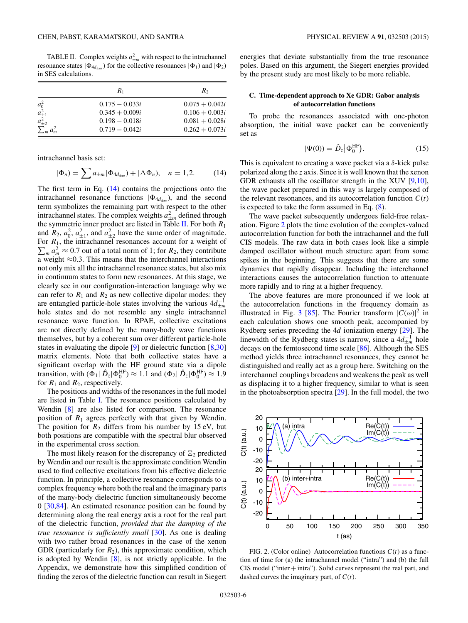<span id="page-5-0"></span>TABLE II. Complex weights  $a_{\pm m}^2$  with respect to the intrachannel resonance states  $|\Phi_{4d+m}\rangle$  for the collective resonances  $|\Phi_1\rangle$  and  $|\Phi_2\rangle$ in SES calculations.

|                          | $R_1$            | $R_{2}$          |
|--------------------------|------------------|------------------|
|                          | $0.175 - 0.033i$ | $0.075 + 0.042i$ |
| $a_0^2$<br>$a_{\pm 1}^2$ | $0.345 + 0.009i$ | $0.106 + 0.003i$ |
| $a_{\pm 2}^2$            | $0.198 - 0.018i$ | $0.081 + 0.028i$ |
| $\sum_{m} a_m^2$         | $0.719 - 0.042i$ | $0.262 + 0.073i$ |

intrachannel basis set:

$$
|\Phi_n) = \sum a_{\pm m} |\Phi_{4d_{\pm m}}) + |\Delta \Phi_n|, \quad n = 1, 2. \tag{14}
$$

The first term in Eq. (14) contains the projections onto the intrachannel resonance functions  $|\Phi_{4d_{+m}}\rangle$ , and the second term symbolizes the remaining part with respect to the other intrachannel states. The complex weights  $a_{\pm m}^2$  defined through the symmetric inner product are listed in Table II. For both *R*<sup>1</sup> and  $R_2$ ,  $a_2^2$ ,  $a_{\pm 1}^2$ , and  $a_{\pm 2}^2$  have the same order of magnitude.  $\sum_{m} a_m^2 \approx 0.7$  out of a total norm of 1; for *R*<sub>2</sub>, they contribute For  $R_1$ , the intrachannel resonances account for a weight of a weight  $\approx$ 0.3. This means that the interchannel interactions not only mix all the intrachannel resonance states, but also mix in continuum states to form new resonances. At this stage, we clearly see in our configuration-interaction language why we can refer to  $R_1$  and  $R_2$  as new collective dipolar modes: they are entangled particle-hole states involving the various  $4d_{\pm m}^{-1}$ hole states and do not resemble any single intrachannel resonance wave function. In RPAE, collective excitations are not directly defined by the many-body wave functions themselves, but by a coherent sum over different particle-hole states in evaluating the dipole [\[9\]](#page-9-0) or dielectric function [\[8](#page-8-0)[,30\]](#page-9-0) matrix elements. Note that both collective states have a significant overlap with the HF ground state via a dipole transition, with  $(\Phi_1 | \hat{D}_z | \Phi_0^{\text{HF}}) \approx 1.1$  and  $(\Phi_2 | \hat{D}_z | \Phi_0^{\text{HF}}) \approx 1.9$ for  $R_1$  and  $R_2$ , respectively.

The positions and widths of the resonances in the full model are listed in Table [I.](#page-4-0) The resonance positions calculated by Wendin [\[8\]](#page-8-0) are also listed for comparison. The resonance position of *R*<sup>1</sup> agrees perfectly with that given by Wendin. The position for  $R_2$  differs from his number by 15 eV, but both positions are compatible with the spectral blur observed in the experimental cross section.

The most likely reason for the discrepancy of <sup>2</sup> predicted by Wendin and our result is the approximate condition Wendin used to find collective excitations from his effective dielectric function. In principle, a collective resonance corresponds to a complex frequency where both the real and the imaginary parts of the many-body dielectric function simultaneously become 0 [\[30,](#page-9-0)[84\]](#page-10-0). An estimated resonance position can be found by determining along the real energy axis a root for the real part of the dielectric function, *provided that the damping of the true resonance is sufficiently small* [\[30\]](#page-9-0). As one is dealing with two rather broad resonances in the case of the xenon GDR (particularly for  $R_2$ ), this approximate condition, which is adopted by Wendin [\[8\]](#page-8-0), is not strictly applicable. In the Appendix, we demonstrate how this simplified condition of finding the zeros of the dielectric function can result in Siegert energies that deviate substantially from the true resonance poles. Based on this argument, the Siegert energies provided by the present study are most likely to be more reliable.

## **C. Time-dependent approach to Xe GDR: Gabor analysis of autocorrelation functions**

To probe the resonances associated with one-photon absorption, the initial wave packet can be conveniently set as

$$
|\Psi(0)\rangle = \hat{D}_z |\Phi_0^{\text{HF}}\rangle. \tag{15}
$$

This is equivalent to creating a wave packet via a *δ*-kick pulse polarized along the *z* axis. Since it is well known that the xenon GDR exhausts all the oscillator strength in the XUV [\[9,10\]](#page-9-0), the wave packet prepared in this way is largely composed of the relevant resonances, and its autocorrelation function  $C(t)$ is expected to take the form assumed in Eq.  $(8)$ .

The wave packet subsequently undergoes field-free relaxation. Figure 2 plots the time evolution of the complex-valued autocorrelation function for both the intrachannel and the full CIS models. The raw data in both cases look like a simple damped oscillator without much structure apart from some spikes in the beginning. This suggests that there are some dynamics that rapidly disappear. Including the interchannel interactions causes the autocorrelation function to attenuate more rapidly and to ring at a higher frequency.

The above features are more pronounced if we look at the autocorrelation functions in the frequency domain as illustrated in Fig. [3](#page-6-0) [\[85\]](#page-10-0). The Fourier transform  $|C(\omega)|^2$  in each calculation shows one smooth peak, accompanied by Rydberg series preceding the 4*d* ionization energy [\[29\]](#page-9-0). The linewidth of the Rydberg states is narrow, since a  $4d_{\pm m}^{-1}$  hole decays on the femtosecond time scale [\[86\]](#page-10-0). Although the SES method yields three intrachannel resonances, they cannot be distinguished and really act as a group here. Switching on the interchannel couplings broadens and weakens the peak as well as displacing it to a higher frequency, similar to what is seen in the photoabsorption spectra [\[29\]](#page-9-0). In the full model, the two



FIG. 2. (Color online) Autocorrelation functions  $C(t)$  as a function of time for (a) the intrachannel model ("intra") and (b) the full CIS model ("inter  $+$  intra"). Solid curves represent the real part, and dashed curves the imaginary part, of *C*(*t*).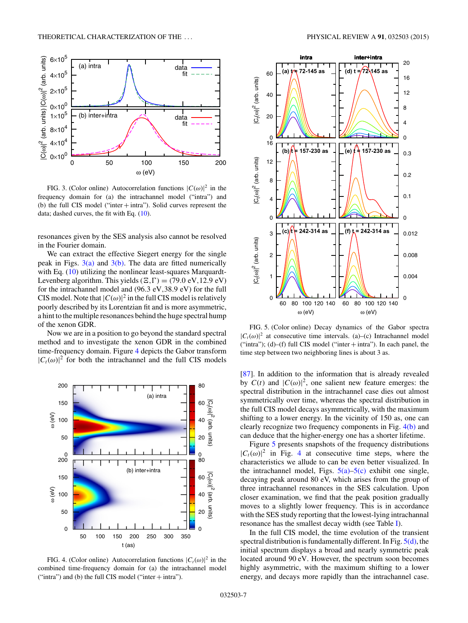<span id="page-6-0"></span>

FIG. 3. (Color online) Autocorrelation functions  $|C(\omega)|^2$  in the frequency domain for (a) the intrachannel model ("intra") and (b) the full CIS model ("inter + intra"). Solid curves represent the data; dashed curves, the fit with Eq. [\(10\)](#page-2-0).

resonances given by the SES analysis also cannot be resolved in the Fourier domain.

We can extract the effective Siegert energy for the single peak in Figs.  $3(a)$  and  $3(b)$ . The data are fitted numerically with Eq. [\(10\)](#page-2-0) utilizing the nonlinear least-squares Marquardt-Levenberg algorithm. This yields  $(E, \Gamma) = (79.0 \text{ eV}, 12.9 \text{ eV})$ for the intrachannel model and (96*.*3 eV*,*38*.*9 eV) for the full CIS model. Note that  $|C(\omega)|^2$  in the full CIS model is relatively poorly described by its Lorentzian fit and is more asymmetric, a hint to the multiple resonances behind the huge spectral hump of the xenon GDR.

Now we are in a position to go beyond the standard spectral method and to investigate the xenon GDR in the combined time-frequency domain. Figure 4 depicts the Gabor transform  $|C_t(\omega)|^2$  for both the intrachannel and the full CIS models



FIG. 4. (Color online) Autocorrelation functions  $|C_t(\omega)|^2$  in the combined time-frequency domain for (a) the intrachannel model ("intra") and (b) the full CIS model ("inter  $+$  intra").



FIG. 5. (Color online) Decay dynamics of the Gabor spectra  $|C_t(\omega)|^2$  at consecutive time intervals. (a)–(c) Intrachannel model ("intra"); (d)–(f) full CIS model ("inter  $+$  intra"). In each panel, the time step between two neighboring lines is about 3 as.

[\[87\]](#page-10-0). In addition to the information that is already revealed by  $C(t)$  and  $|C(\omega)|^2$ , one salient new feature emerges: the spectral distribution in the intrachannel case dies out almost symmetrically over time, whereas the spectral distribution in the full CIS model decays asymmetrically, with the maximum shifting to a lower energy. In the vicinity of 150 as, one can clearly recognize two frequency components in Fig. 4(b) and can deduce that the higher-energy one has a shorter lifetime.

Figure 5 presents snapshots of the frequency distributions  $|C_t(\omega)|^2$  in Fig. 4 at consecutive time steps, where the characteristics we allude to can be even better visualized. In the intrachannel model, Figs.  $5(a)$ – $5(c)$  exhibit one single, decaying peak around 80 eV, which arises from the group of three intrachannel resonances in the SES calculation. Upon closer examination, we find that the peak position gradually moves to a slightly lower frequency. This is in accordance with the SES study reporting that the lowest-lying intrachannal resonance has the smallest decay width (see Table [I\)](#page-4-0).

In the full CIS model, the time evolution of the transient spectral distribution is fundamentally different. In Fig.  $5(d)$ , the initial spectrum displays a broad and nearly symmetric peak located around 90 eV. However, the spectrum soon becomes highly asymmetric, with the maximum shifting to a lower energy, and decays more rapidly than the intrachannel case.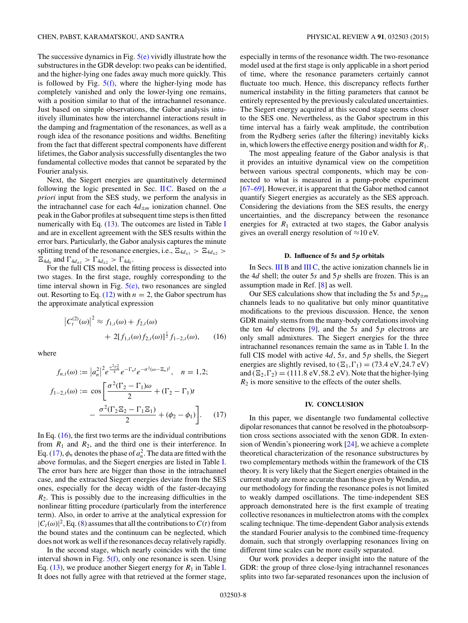<span id="page-7-0"></span>The successive dynamics in Fig.  $5(e)$  vividly illustrate how the substructures in the GDR develop: two peaks can be identified, and the higher-lying one fades away much more quickly. This is followed by Fig.  $5(f)$ , where the higher-lying mode has completely vanished and only the lower-lying one remains, with a position similar to that of the intrachannel resonance. Just based on simple observations, the Gabor analysis intuitively illuminates how the interchannel interactions result in the damping and fragmentation of the resonances, as well as a rough idea of the resonance positions and widths. Benefiting from the fact that different spectral components have different lifetimes, the Gabor analysis successfully disentangles the two fundamental collective modes that cannot be separated by the Fourier analysis.

Next, the Siegert energies are quantitatively determined following the logic presented in Sec. [II C.](#page-2-0) Based on the *a priori* input from the SES study, we perform the analysis in the intrachannel case for each  $4d_{\pm m}$  ionization channel. One peak in the Gabor profiles at subsequent time steps is then fitted numerically with Eq.  $(13)$ . The outcomes are listed in Table [I](#page-4-0) and are in excellent agreement with the SES results within the error bars. Particularly, the Gabor analysis captures the minute splitting trend of the resonance energies, i.e.,  $\Xi_{4d_{\pm 1}} > \Xi_{4d_{\pm 2}} >$  $\Xi_{4d_0}$  and  $\Gamma_{4d_{\pm 1}} > \Gamma_{4d_{\pm 2}} > \Gamma_{4d_0}$ .

For the full CIS model, the fitting process is dissected into two stages. In the first stage, roughly corresponding to the time interval shown in Fig.  $5(e)$ , two resonances are singled out. Resorting to Eq.  $(12)$  with  $n = 2$ , the Gabor spectrum has the approximate analytical expression

$$
\left| C_t^{(2)}(\omega) \right|^2 \approx f_{1,t}(\omega) + f_{2,t}(\omega) + 2[f_{1,t}(\omega) f_{2,t}(\omega)]^{\frac{1}{2}} f_{1-2,t}(\omega), \qquad (16)
$$

where

$$
f_{n,t}(\omega) := |a_n^2|^2 e^{\frac{\sigma^2 \Gamma_n^2}{4}} e^{-\Gamma_n t} e^{-\sigma^2 (\omega - \Xi_n)^2}, \quad n = 1, 2;
$$
  

$$
f_{1-2,t}(\omega) := \cos \left[ \frac{\sigma^2 (\Gamma_2 - \Gamma_1) \omega}{2} + (\Gamma_2 - \Gamma_1) t - \frac{\sigma^2 (\Gamma_2 \Xi_2 - \Gamma_1 \Xi_1)}{2} + (\phi_2 - \phi_1) \right].
$$
 (17)

In Eq. (16), the first two terms are the individual contributions from  $R_1$  and  $R_2$ , and the third one is their interference. In Eq. (17),  $\phi_n$  denotes the phase of  $a_n^2$ . The data are fitted with the above formulas, and the Siegert energies are listed in Table [I.](#page-4-0) The error bars here are bigger than those in the intrachannel case, and the extracted Siegert energies deviate from the SES ones, especially for the decay width of the faster-decaying *R*2. This is possibly due to the increasing difficulties in the nonlinear fitting procedure (particularly from the interference term). Also, in order to arrive at the analytical expression for  $|C_t(\omega)|^2$ , Eq. [\(8\)](#page-2-0) assumes that all the contributions to  $C(t)$  from the bound states and the continuum can be neglected, which does not work as well if the resonances decay relatively rapidly.

In the second stage, which nearly coincides with the time interval shown in Fig.  $5(f)$ , only one resonance is seen. Using Eq.  $(13)$ , we produce another Siegert energy for  $R_1$  in Table [I.](#page-4-0) It does not fully agree with that retrieved at the former stage,

especially in terms of the resonance width. The two-resonance model used at the first stage is only applicable in a short period of time, where the resonance parameters certainly cannot fluctuate too much. Hence, this discrepancy reflects further numerical instability in the fitting parameters that cannot be entirely represented by the previously calculated uncertainties. The Siegert energy acquired at this second stage seems closer to the SES one. Nevertheless, as the Gabor spectrum in this time interval has a fairly weak amplitude, the contribution from the Rydberg series (after the filtering) inevitably kicks in, which lowers the effective energy position and width for *R*1.

The most appealing feature of the Gabor analysis is that it provides an intuitive dynamical view on the competition between various spectral components, which may be connected to what is measured in a pump-probe experiment [\[67–69\]](#page-9-0). However, it is apparent that the Gabor method cannot quantify Siegert energies as accurately as the SES approach. Considering the deviations from the SES results, the energy uncertainties, and the discrepancy between the resonance energies for  $R_1$  extracted at two stages, the Gabor analysis gives an overall energy resolution of  $\approx$ 10 eV.

#### **D. Influence of 5***s* **and 5** *p* **orbitals**

In Secs. [III B](#page-3-0) and [III C,](#page-5-0) the active ionization channels lie in the 4*d* shell; the outer 5*s* and 5*p* shells are frozen. This is an assumption made in Ref. [\[8\]](#page-8-0) as well.

Our SES calculations show that including the 5*s* and  $5p_{\pm m}$ channels leads to no qualitative but only minor quantitative modifications to the previous discussion. Hence, the xenon GDR mainly stems from the many-body correlations involving the ten 4*d* electrons [\[9\]](#page-9-0), and the 5*s* and 5*p* electrons are only small admixtures. The Siegert energies for the three intrachannel resonances remain the same as in Table [I.](#page-4-0) In the full CIS model with active 4*d*, 5*s*, and 5*p* shells, the Siegert energies are slightly revised, to  $(E_1, \Gamma_1) = (73.4 \text{ eV}, 24.7 \text{ eV})$ and  $(\Xi_2, \Gamma_2) = (111.8 \text{ eV}, 58.2 \text{ eV})$ . Note that the higher-lying *R*<sup>2</sup> is more sensitive to the effects of the outer shells.

### **IV. CONCLUSION**

In this paper, we disentangle two fundamental collective dipolar resonances that cannot be resolved in the photoabsorption cross sections associated with the xenon GDR. In extension of Wendin's pioneering work [\[24\]](#page-9-0), we achieve a complete theoretical characterization of the resonance substructures by two complementary methods within the framework of the CIS theory. It is very likely that the Siegert energies obtained in the current study are more accurate than those given by Wendin, as our methodology for finding the resonance poles is not limited to weakly damped oscillations. The time-independent SES approach demonstrated here is the first example of treating collective resonances in multielectron atoms with the complex scaling technique. The time-dependent Gabor analysis extends the standard Fourier analysis to the combined time-frequency domain, such that strongly overlapping resonances living on different time scales can be more easily separated.

Our work provides a deeper insight into the nature of the GDR: the group of three close-lying intrachannel resonances splits into two far-separated resonances upon the inclusion of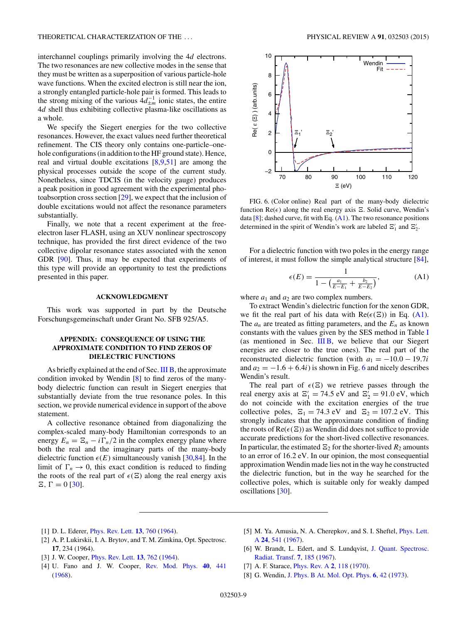<span id="page-8-0"></span>interchannel couplings primarily involving the 4*d* electrons. The two resonances are new collective modes in the sense that they must be written as a superposition of various particle-hole wave functions. When the excited electron is still near the ion, a strongly entangled particle-hole pair is formed. This leads to the strong mixing of the various  $4d_{\pm m}^{-1}$  ionic states, the entire 4*d* shell thus exhibiting collective plasma-like oscillations as a whole.

We specify the Siegert energies for the two collective resonances. However, the exact values need further theoretical refinement. The CIS theory only contains one-particle–onehole configurations (in addition to the HF ground state). Hence, real and virtual double excitations [8[,9,51\]](#page-9-0) are among the physical processes outside the scope of the current study. Nonetheless, since TDCIS (in the velocity gauge) produces a peak position in good agreement with the experimental photoabsorption cross section [\[29\]](#page-9-0), we expect that the inclusion of double excitations would not affect the resonance parameters substantially.

Finally, we note that a recent experiment at the freeelectron laser FLASH, using an XUV nonlinear spectroscopy technique, has provided the first direct evidence of the two collective dipolar resonance states associated with the xenon GDR [\[90\]](#page-10-0). Thus, it may be expected that experiments of this type will provide an opportunity to test the predictions presented in this paper.

## **ACKNOWLEDGMENT**

This work was supported in part by the Deutsche Forschungsgemeinschaft under Grant No. SFB 925/A5.

# **APPENDIX: CONSEQUENCE OF USING THE APPROXIMATE CONDITION TO FIND ZEROS OF DIELECTRIC FUNCTIONS**

As briefly explained at the end of Sec. [III B,](#page-3-0) the approximate condition invoked by Wendin [8] to find zeros of the manybody dielectric function can result in Siegert energies that substantially deviate from the true resonance poles. In this section, we provide numerical evidence in support of the above statement.

A collective resonance obtained from diagonalizing the complex-scaled many-body Hamiltonian corresponds to an energy  $E_n = \mathbb{E}_n - i \Gamma_n/2$  in the complex energy plane where both the real and the imaginary parts of the many-body dielectric function  $\epsilon(E)$  simultaneously vanish [\[30,](#page-9-0)[84\]](#page-10-0). In the limit of  $\Gamma_n \to 0$ , this exact condition is reduced to finding the roots of the real part of  $\epsilon(\Xi)$  along the real energy axis  $\Xi$ ,  $\Gamma = 0$  [\[30\]](#page-9-0).



FIG. 6. (Color online) Real part of the many-body dielectric function  $\text{Re}(\epsilon)$  along the real energy axis  $\Xi$ . Solid curve, Wendin's data  $[8]$ ; dashed curve, fit with Eq.  $(A1)$ . The two resonance positions determined in the spirit of Wendin's work are labeled  $\Xi'_1$  and  $\Xi'_2$ .

For a dielectric function with two poles in the energy range of interest, it must follow the simple analytical structure [\[84\]](#page-10-0),

$$
\epsilon(E) = \frac{1}{1 - \left(\frac{a_1}{E - E_1} + \frac{b_2}{E - E_2}\right)},\tag{A1}
$$

where  $a_1$  and  $a_2$  are two complex numbers.

To extract Wendin's dielectric function for the xenon GDR, we fit the real part of his data with  $Re(\epsilon(E))$  in Eq. (A1). The  $a_n$  are treated as fitting parameters, and the  $E_n$  as known constants with the values given by the SES method in Table [I](#page-4-0) (as mentioned in Sec. [III B,](#page-3-0) we believe that our Siegert energies are closer to the true ones). The real part of the reconstructed dielectric function (with  $a_1 = -10.0 - 19.7i$ and  $a_2 = -1.6 + 6.4i$  is shown in Fig. 6 and nicely describes Wendin's result.

The real part of  $\epsilon(\Xi)$  we retrieve passes through the real energy axis at  $\Xi'_1 = 74.5$  eV and  $\Xi'_2 = 91.0$  eV, which do not coincide with the excitation energies of the true collective poles,  $\Xi_1 = 74.3$  eV and  $\Xi_2 = 107.2$  eV. This strongly indicates that the approximate condition of finding the roots of  $Re(\epsilon(\Xi))$  as Wendin did does not suffice to provide accurate predictions for the short-lived collective resonances. In particular, the estimated  $\Xi_2$  for the shorter-lived  $R_2$  amounts to an error of 16*.*2 eV. In our opinion, the most consequential approximation Wendin made lies not in the way he constructed the dielectric function, but in the way he searched for the collective poles, which is suitable only for weakly damped oscillations [\[30\]](#page-9-0).

- [1] D. L. Ederer, [Phys. Rev. Lett.](http://dx.doi.org/10.1103/PhysRevLett.13.760) **[13](http://dx.doi.org/10.1103/PhysRevLett.13.760)**, [760](http://dx.doi.org/10.1103/PhysRevLett.13.760) [\(1964\)](http://dx.doi.org/10.1103/PhysRevLett.13.760).
- [2] A. P. Lukirskii, I. A. Brytov, and T. M. Zimkina, Opt. Spectrosc. **17**, 234 (1964).
- [3] J. W. Cooper, [Phys. Rev. Lett.](http://dx.doi.org/10.1103/PhysRevLett.13.762) **[13](http://dx.doi.org/10.1103/PhysRevLett.13.762)**, [762](http://dx.doi.org/10.1103/PhysRevLett.13.762) [\(1964\)](http://dx.doi.org/10.1103/PhysRevLett.13.762).
- [4] U. Fano and J. W. Cooper, [Rev. Mod. Phys.](http://dx.doi.org/10.1103/RevModPhys.40.441) **[40](http://dx.doi.org/10.1103/RevModPhys.40.441)**, [441](http://dx.doi.org/10.1103/RevModPhys.40.441) [\(1968\)](http://dx.doi.org/10.1103/RevModPhys.40.441).
- [5] [M. Ya. Amusia, N. A. Cherepkov, and S. I. Sheftel,](http://dx.doi.org/10.1016/0375-9601(67)90827-4) *Phys. Lett.* A **[24](http://dx.doi.org/10.1016/0375-9601(67)90827-4)**, [541](http://dx.doi.org/10.1016/0375-9601(67)90827-4) [\(1967\)](http://dx.doi.org/10.1016/0375-9601(67)90827-4).
- [6] [W. Brandt, L. Edert, and S. Lundqvist,](http://dx.doi.org/10.1016/0022-4073(67)90064-7) J. Quant. Spectrosc. Radiat. Transf. **[7](http://dx.doi.org/10.1016/0022-4073(67)90064-7)**, [185](http://dx.doi.org/10.1016/0022-4073(67)90064-7) [\(1967\)](http://dx.doi.org/10.1016/0022-4073(67)90064-7).
- [7] A. F. Starace, [Phys. Rev. A](http://dx.doi.org/10.1103/PhysRevA.2.118) **[2](http://dx.doi.org/10.1103/PhysRevA.2.118)**, [118](http://dx.doi.org/10.1103/PhysRevA.2.118) [\(1970\)](http://dx.doi.org/10.1103/PhysRevA.2.118).
- [8] G. Wendin, [J. Phys. B At. Mol. Opt. Phys.](http://dx.doi.org/10.1088/0022-3700/6/1/007) **[6](http://dx.doi.org/10.1088/0022-3700/6/1/007)**, [42](http://dx.doi.org/10.1088/0022-3700/6/1/007) [\(1973\)](http://dx.doi.org/10.1088/0022-3700/6/1/007).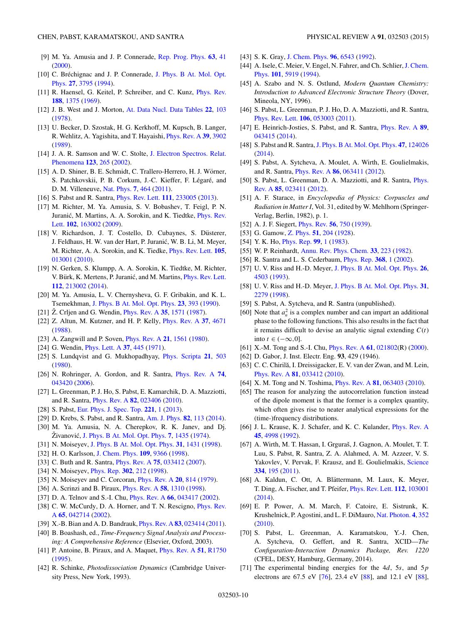- <span id="page-9-0"></span>[9] M. Ya. Amusia and J. P. Connerade, [Rep. Prog. Phys.](http://dx.doi.org/10.1088/0034-4885/63/1/202) **[63](http://dx.doi.org/10.1088/0034-4885/63/1/202)**, [41](http://dx.doi.org/10.1088/0034-4885/63/1/202) [\(2000\)](http://dx.doi.org/10.1088/0034-4885/63/1/202).
- [10] C. Bréchignac and J. P. Connerade, J. Phys. B At. Mol. Opt. Phys. **[27](http://dx.doi.org/10.1088/0953-4075/27/17/008)**, [3795](http://dx.doi.org/10.1088/0953-4075/27/17/008) [\(1994\)](http://dx.doi.org/10.1088/0953-4075/27/17/008).
- [11] R. Haensel, G. Keitel, P. Schreiber, and C. Kunz, *[Phys. Rev.](http://dx.doi.org/10.1103/PhysRev.188.1375)* **[188](http://dx.doi.org/10.1103/PhysRev.188.1375)**, [1375](http://dx.doi.org/10.1103/PhysRev.188.1375) [\(1969\)](http://dx.doi.org/10.1103/PhysRev.188.1375).
- [12] J. B. West and J. Morton, [At. Data Nucl. Data Tables](http://dx.doi.org/10.1016/0092-640X(78)90010-4) **[22](http://dx.doi.org/10.1016/0092-640X(78)90010-4)**, [103](http://dx.doi.org/10.1016/0092-640X(78)90010-4) [\(1978\)](http://dx.doi.org/10.1016/0092-640X(78)90010-4).
- [13] U. Becker, D. Szostak, H. G. Kerkhoff, M. Kupsch, B. Langer, R. Wehlitz, A. Yagishita, and T. Hayaishi, [Phys. Rev. A](http://dx.doi.org/10.1103/PhysRevA.39.3902) **[39](http://dx.doi.org/10.1103/PhysRevA.39.3902)**, [3902](http://dx.doi.org/10.1103/PhysRevA.39.3902) [\(1989\)](http://dx.doi.org/10.1103/PhysRevA.39.3902).
- [14] [J. A. R. Samson and W. C. Stolte,](http://dx.doi.org/10.1016/S0368-2048(02)00026-9) J. Electron Spectros. Relat. Phenomena **[123](http://dx.doi.org/10.1016/S0368-2048(02)00026-9)**, [265](http://dx.doi.org/10.1016/S0368-2048(02)00026-9) [\(2002\)](http://dx.doi.org/10.1016/S0368-2048(02)00026-9).
- [15] A. D. Shiner, B. E. Schmidt, C. Trallero-Herrero, H. J. Wörner, S. Patchkovskii, P. B. Corkum, J.-C. Kieffer, F. Légaré, and D. M. Villeneuve, [Nat. Phys.](http://dx.doi.org/10.1038/nphys1940) **[7](http://dx.doi.org/10.1038/nphys1940)**, [464](http://dx.doi.org/10.1038/nphys1940) [\(2011\)](http://dx.doi.org/10.1038/nphys1940).
- [16] S. Pabst and R. Santra, [Phys. Rev. Lett.](http://dx.doi.org/10.1103/PhysRevLett.111.233005) **[111](http://dx.doi.org/10.1103/PhysRevLett.111.233005)**, [233005](http://dx.doi.org/10.1103/PhysRevLett.111.233005) [\(2013\)](http://dx.doi.org/10.1103/PhysRevLett.111.233005).
- [17] M. Richter, M. Ya. Amusia, S. V. Bobashev, T. Feigl, P. N. Juranić, M. Martins, A. A. Sorokin, and K. Tiedtke, *Phys. Rev.* Lett. **[102](http://dx.doi.org/10.1103/PhysRevLett.102.163002)**, [163002](http://dx.doi.org/10.1103/PhysRevLett.102.163002) [\(2009\)](http://dx.doi.org/10.1103/PhysRevLett.102.163002).
- [18] V. Richardson, J. T. Costello, D. Cubaynes, S. Düsterer, J. Feldhaus, H. W. van der Hart, P. Juranic, W. B. Li, M. Meyer, ´ M. Richter, A. A. Sorokin, and K. Tiedke, [Phys. Rev. Lett.](http://dx.doi.org/10.1103/PhysRevLett.105.013001) **[105](http://dx.doi.org/10.1103/PhysRevLett.105.013001)**, [013001](http://dx.doi.org/10.1103/PhysRevLett.105.013001) [\(2010\)](http://dx.doi.org/10.1103/PhysRevLett.105.013001).
- [19] N. Gerken, S. Klumpp, A. A. Sorokin, K. Tiedtke, M. Richter, V. Bürk, K. Mertens, P. Juranić, and M. Martins, *[Phys. Rev. Lett.](http://dx.doi.org/10.1103/PhysRevLett.112.213002)* **[112](http://dx.doi.org/10.1103/PhysRevLett.112.213002)**, [213002](http://dx.doi.org/10.1103/PhysRevLett.112.213002) [\(2014\)](http://dx.doi.org/10.1103/PhysRevLett.112.213002).
- [20] M. Ya. Amusia, L. V. Chernysheva, G. F. Gribakin, and K. L. Tsemekhman, [J. Phys. B At. Mol. Opt. Phys.](http://dx.doi.org/10.1088/0953-4075/23/3/010) **[23](http://dx.doi.org/10.1088/0953-4075/23/3/010)**, [393](http://dx.doi.org/10.1088/0953-4075/23/3/010) [\(1990\)](http://dx.doi.org/10.1088/0953-4075/23/3/010).
- [21]  $\ddot{Z}$ . Crijen and G. Wendin, *[Phys. Rev. A](http://dx.doi.org/10.1103/PhysRevA.35.1571)* [35](http://dx.doi.org/10.1103/PhysRevA.35.1571), [1571](http://dx.doi.org/10.1103/PhysRevA.35.1571) [\(1987\)](http://dx.doi.org/10.1103/PhysRevA.35.1571).
- [22] Z. Altun, M. Kutzner, and H. P. Kelly, [Phys. Rev. A](http://dx.doi.org/10.1103/PhysRevA.37.4671) **[37](http://dx.doi.org/10.1103/PhysRevA.37.4671)**, [4671](http://dx.doi.org/10.1103/PhysRevA.37.4671) [\(1988\)](http://dx.doi.org/10.1103/PhysRevA.37.4671).
- [23] A. Zangwill and P. Soven, [Phys. Rev. A](http://dx.doi.org/10.1103/PhysRevA.21.1561) **[21](http://dx.doi.org/10.1103/PhysRevA.21.1561)**, [1561](http://dx.doi.org/10.1103/PhysRevA.21.1561) [\(1980\)](http://dx.doi.org/10.1103/PhysRevA.21.1561).
- [24] G. Wendin, [Phys. Lett. A](http://dx.doi.org/10.1016/0375-9601(71)90627-X) **[37](http://dx.doi.org/10.1016/0375-9601(71)90627-X)**, [445](http://dx.doi.org/10.1016/0375-9601(71)90627-X) [\(1971\)](http://dx.doi.org/10.1016/0375-9601(71)90627-X).
- [25] S. Lundqvist and G. Mukhopadhyay, [Phys. Scripta](http://dx.doi.org/10.1088/0031-8949/21/3-4/043) **[21](http://dx.doi.org/10.1088/0031-8949/21/3-4/043)**, [503](http://dx.doi.org/10.1088/0031-8949/21/3-4/043) [\(1980\)](http://dx.doi.org/10.1088/0031-8949/21/3-4/043).
- [26] N. Rohringer, A. Gordon, and R. Santra, [Phys. Rev. A](http://dx.doi.org/10.1103/PhysRevA.74.043420) **[74](http://dx.doi.org/10.1103/PhysRevA.74.043420)**, [043420](http://dx.doi.org/10.1103/PhysRevA.74.043420) [\(2006\)](http://dx.doi.org/10.1103/PhysRevA.74.043420).
- [27] L. Greenman, P. J. Ho, S. Pabst, E. Kamarchik, D. A. Mazziotti, and R. Santra, [Phys. Rev. A](http://dx.doi.org/10.1103/PhysRevA.82.023406) **[82](http://dx.doi.org/10.1103/PhysRevA.82.023406)**, [023406](http://dx.doi.org/10.1103/PhysRevA.82.023406) [\(2010\)](http://dx.doi.org/10.1103/PhysRevA.82.023406).
- [28] S. Pabst, [Eur. Phys. J. Spec. Top.](http://dx.doi.org/10.1140/epjst/e2013-01819-x) **[221](http://dx.doi.org/10.1140/epjst/e2013-01819-x)**, [1](http://dx.doi.org/10.1140/epjst/e2013-01819-x) [\(2013\)](http://dx.doi.org/10.1140/epjst/e2013-01819-x).
- [29] D. Krebs, S. Pabst, and R. Santra, [Am. J. Phys.](http://dx.doi.org/10.1119/1.4827015) **[82](http://dx.doi.org/10.1119/1.4827015)**, [113](http://dx.doi.org/10.1119/1.4827015) [\(2014\)](http://dx.doi.org/10.1119/1.4827015).
- [30] M. Ya. Amusia, N. A. Cherepkov, R. K. Janev, and Dj. Živanović, [J. Phys. B At. Mol. Opt. Phys.](http://dx.doi.org/10.1088/0022-3700/7/12/005) **[7](http://dx.doi.org/10.1088/0022-3700/7/12/005)**, [1435](http://dx.doi.org/10.1088/0022-3700/7/12/005) [\(1974\)](http://dx.doi.org/10.1088/0022-3700/7/12/005).
- [31] N. Moiseyev, [J. Phys. B At. Mol. Opt. Phys.](http://dx.doi.org/10.1088/0953-4075/31/7/009) **[31](http://dx.doi.org/10.1088/0953-4075/31/7/009)**, [1431](http://dx.doi.org/10.1088/0953-4075/31/7/009) [\(1998\)](http://dx.doi.org/10.1088/0953-4075/31/7/009).
- [32] H. O. Karlsson, [J. Chem. Phys.](http://dx.doi.org/10.1063/1.477598) **[109](http://dx.doi.org/10.1063/1.477598)**, [9366](http://dx.doi.org/10.1063/1.477598) [\(1998\)](http://dx.doi.org/10.1063/1.477598).
- [33] C. Buth and R. Santra, [Phys. Rev. A](http://dx.doi.org/10.1103/PhysRevA.75.033412) **[75](http://dx.doi.org/10.1103/PhysRevA.75.033412)**, [033412](http://dx.doi.org/10.1103/PhysRevA.75.033412) [\(2007\)](http://dx.doi.org/10.1103/PhysRevA.75.033412).
- [34] N. Moiseyev, [Phys. Rep.](http://dx.doi.org/10.1016/S0370-1573(98)00002-7) **[302](http://dx.doi.org/10.1016/S0370-1573(98)00002-7)**, [212](http://dx.doi.org/10.1016/S0370-1573(98)00002-7) [\(1998\)](http://dx.doi.org/10.1016/S0370-1573(98)00002-7).
- [35] N. Moiseyev and C. Corcoran, [Phys. Rev. A](http://dx.doi.org/10.1103/PhysRevA.20.814) **[20](http://dx.doi.org/10.1103/PhysRevA.20.814)**, [814](http://dx.doi.org/10.1103/PhysRevA.20.814) [\(1979\)](http://dx.doi.org/10.1103/PhysRevA.20.814).
- [36] A. Scrinzi and B. Piraux, [Phys. Rev. A](http://dx.doi.org/10.1103/PhysRevA.58.1310) **[58](http://dx.doi.org/10.1103/PhysRevA.58.1310)**, [1310](http://dx.doi.org/10.1103/PhysRevA.58.1310) [\(1998\)](http://dx.doi.org/10.1103/PhysRevA.58.1310).
- [37] D. A. Telnov and S.-I. Chu, [Phys. Rev. A](http://dx.doi.org/10.1103/PhysRevA.66.043417) **[66](http://dx.doi.org/10.1103/PhysRevA.66.043417)**, [043417](http://dx.doi.org/10.1103/PhysRevA.66.043417) [\(2002\)](http://dx.doi.org/10.1103/PhysRevA.66.043417).
- [38] [C. W. McCurdy, D. A. Horner, and T. N. Rescigno,](http://dx.doi.org/10.1103/PhysRevA.65.042714) *Phys. Rev.* A **[65](http://dx.doi.org/10.1103/PhysRevA.65.042714)**, [042714](http://dx.doi.org/10.1103/PhysRevA.65.042714) [\(2002\)](http://dx.doi.org/10.1103/PhysRevA.65.042714).
- [39] X.-B. Bian and A. D. Bandrauk, [Phys. Rev. A](http://dx.doi.org/10.1103/PhysRevA.83.023414) **[83](http://dx.doi.org/10.1103/PhysRevA.83.023414)**, [023414](http://dx.doi.org/10.1103/PhysRevA.83.023414) [\(2011\)](http://dx.doi.org/10.1103/PhysRevA.83.023414).
- [40] B. Boashash, ed., *Time-Frequency Signal Analysis and Processing: A Comprehensive Reference* (Elsevier, Oxford, 2003).
- [41] P. Antoine, B. Piraux, and A. Maquet, [Phys. Rev. A](http://dx.doi.org/10.1103/PhysRevA.51.R1750) **[51](http://dx.doi.org/10.1103/PhysRevA.51.R1750)**, [R1750](http://dx.doi.org/10.1103/PhysRevA.51.R1750) [\(1995\)](http://dx.doi.org/10.1103/PhysRevA.51.R1750).
- [42] R. Schinke, *Photodissociation Dynamics* (Cambridge University Press, New York, 1993).
- [43] S. K. Gray, [J. Chem. Phys.](http://dx.doi.org/10.1063/1.462593) **[96](http://dx.doi.org/10.1063/1.462593)**, [6543](http://dx.doi.org/10.1063/1.462593) [\(1992\)](http://dx.doi.org/10.1063/1.462593).
- [44] A. Isele, C. Meier, V. Engel, N. Fahrer, and Ch. Schlier, J. Chem. Phys. **[101](http://dx.doi.org/10.1063/1.467308)**, [5919](http://dx.doi.org/10.1063/1.467308) [\(1994\)](http://dx.doi.org/10.1063/1.467308).
- [45] A. Szabo and N. S. Ostlund, *Modern Quantum Chemistry: Introduction to Advanced Electronic Structure Theory* (Dover, Mineola, NY, 1996).
- [46] S. Pabst, L. Greenman, P. J. Ho, D. A. Mazziotti, and R. Santra, [Phys. Rev. Lett.](http://dx.doi.org/10.1103/PhysRevLett.106.053003) **[106](http://dx.doi.org/10.1103/PhysRevLett.106.053003)**, [053003](http://dx.doi.org/10.1103/PhysRevLett.106.053003) [\(2011\)](http://dx.doi.org/10.1103/PhysRevLett.106.053003).
- [47] E. Heinrich-Josties, S. Pabst, and R. Santra, [Phys. Rev. A](http://dx.doi.org/10.1103/PhysRevA.89.043415) **[89](http://dx.doi.org/10.1103/PhysRevA.89.043415)**, [043415](http://dx.doi.org/10.1103/PhysRevA.89.043415) [\(2014\)](http://dx.doi.org/10.1103/PhysRevA.89.043415).
- [48] S. Pabst and R. Santra,[J. Phys. B At. Mol. Opt. Phys.](http://dx.doi.org/10.1088/0953-4075/47/12/124026) **[47](http://dx.doi.org/10.1088/0953-4075/47/12/124026)**, [124026](http://dx.doi.org/10.1088/0953-4075/47/12/124026) [\(2014\)](http://dx.doi.org/10.1088/0953-4075/47/12/124026).
- [49] S. Pabst, A. Sytcheva, A. Moulet, A. Wirth, E. Goulielmakis, and R. Santra, [Phys. Rev. A](http://dx.doi.org/10.1103/PhysRevA.86.063411) **[86](http://dx.doi.org/10.1103/PhysRevA.86.063411)**, [063411](http://dx.doi.org/10.1103/PhysRevA.86.063411) [\(2012\)](http://dx.doi.org/10.1103/PhysRevA.86.063411).
- [50] [S. Pabst, L. Greenman, D. A. Mazziotti, and R. Santra,](http://dx.doi.org/10.1103/PhysRevA.85.023411) Phys. Rev. A **[85](http://dx.doi.org/10.1103/PhysRevA.85.023411)**, [023411](http://dx.doi.org/10.1103/PhysRevA.85.023411) [\(2012\)](http://dx.doi.org/10.1103/PhysRevA.85.023411).
- [51] A. F. Starace, in *Encyclopedia of Physics: Corpuscles and Radiation in Matter I*, Vol. 31, edited by W. Mehlhorn (Springer-Verlag, Berlin, 1982), p. 1.
- [52] A. J. F. Siegert, [Phys. Rev.](http://dx.doi.org/10.1103/PhysRev.56.750) **[56](http://dx.doi.org/10.1103/PhysRev.56.750)**, [750](http://dx.doi.org/10.1103/PhysRev.56.750) [\(1939\)](http://dx.doi.org/10.1103/PhysRev.56.750).
- [53] G. Gamow, [Z. Phys.](http://dx.doi.org/10.1007/BF01343196) **[51](http://dx.doi.org/10.1007/BF01343196)**, [204](http://dx.doi.org/10.1007/BF01343196) [\(1928\)](http://dx.doi.org/10.1007/BF01343196).
- [54] Y. K. Ho, [Phys. Rep.](http://dx.doi.org/10.1016/0370-1573(83)90112-6) **[99](http://dx.doi.org/10.1016/0370-1573(83)90112-6)**, [1](http://dx.doi.org/10.1016/0370-1573(83)90112-6) [\(1983\)](http://dx.doi.org/10.1016/0370-1573(83)90112-6).
- [55] W. P. Reinhardt, [Annu. Rev. Phys. Chem.](http://dx.doi.org/10.1146/annurev.pc.33.100182.001255) **[33](http://dx.doi.org/10.1146/annurev.pc.33.100182.001255)**, [223](http://dx.doi.org/10.1146/annurev.pc.33.100182.001255) [\(1982\)](http://dx.doi.org/10.1146/annurev.pc.33.100182.001255).
- [56] R. Santra and L. S. Cederbaum, [Phys. Rep.](http://dx.doi.org/10.1016/S0370-1573(02)00143-6) **[368](http://dx.doi.org/10.1016/S0370-1573(02)00143-6)**, [1](http://dx.doi.org/10.1016/S0370-1573(02)00143-6) [\(2002\)](http://dx.doi.org/10.1016/S0370-1573(02)00143-6).
- [57] U. V. Riss and H.-D. Meyer, [J. Phys. B At. Mol. Opt. Phys.](http://dx.doi.org/10.1088/0953-4075/26/23/021) **[26](http://dx.doi.org/10.1088/0953-4075/26/23/021)**, [4503](http://dx.doi.org/10.1088/0953-4075/26/23/021) [\(1993\)](http://dx.doi.org/10.1088/0953-4075/26/23/021).
- [58] U. V. Riss and H.-D. Meyer, [J. Phys. B At. Mol. Opt. Phys.](http://dx.doi.org/10.1088/0953-4075/31/10/016) **[31](http://dx.doi.org/10.1088/0953-4075/31/10/016)**, [2279](http://dx.doi.org/10.1088/0953-4075/31/10/016) [\(1998\)](http://dx.doi.org/10.1088/0953-4075/31/10/016).
- [59] S. Pabst, A. Sytcheva, and R. Santra (unpublished).
- [60] Note that  $a_n^2$  is a complex number and can impart an additional phase to the following functions. This also results in the fact that it remains difficult to devise an analytic signal extending *C*(*t*) into  $t \in (-\infty, 0]$ .
- [61] X.-M. Tong and S.-I. Chu, [Phys. Rev. A](http://dx.doi.org/10.1103/PhysRevA.61.021802) **[61](http://dx.doi.org/10.1103/PhysRevA.61.021802)**, [021802\(](http://dx.doi.org/10.1103/PhysRevA.61.021802)R) [\(2000\)](http://dx.doi.org/10.1103/PhysRevA.61.021802).
- [62] D. Gabor, J. Inst. Electr. Eng. **93**, 429 (1946).
- [63] C. C. Chirilă, I. Dreissigacker, E. V. van der Zwan, and M. Lein, [Phys. Rev. A](http://dx.doi.org/10.1103/PhysRevA.81.033412) **[81](http://dx.doi.org/10.1103/PhysRevA.81.033412)**, [033412](http://dx.doi.org/10.1103/PhysRevA.81.033412) [\(2010\)](http://dx.doi.org/10.1103/PhysRevA.81.033412).
- [64] X. M. Tong and N. Toshima, [Phys. Rev. A](http://dx.doi.org/10.1103/PhysRevA.81.063403) **[81](http://dx.doi.org/10.1103/PhysRevA.81.063403)**, [063403](http://dx.doi.org/10.1103/PhysRevA.81.063403) [\(2010\)](http://dx.doi.org/10.1103/PhysRevA.81.063403).
- [65] The reason for analyzing the autocorrelation function instead of the dipole moment is that the former is a complex quantity, which often gives rise to neater analytical expressions for the (time-)frequency distributions.
- [66] J. L. Krause, K. J. Schafer, and K. C. Kulander, *[Phys. Rev. A](http://dx.doi.org/10.1103/PhysRevA.45.4998)* **[45](http://dx.doi.org/10.1103/PhysRevA.45.4998)**, [4998](http://dx.doi.org/10.1103/PhysRevA.45.4998) [\(1992\)](http://dx.doi.org/10.1103/PhysRevA.45.4998).
- [67] A. Wirth, M. T. Hassan, I. Grguraš, J. Gagnon, A. Moulet, T. T. Luu, S. Pabst, R. Santra, Z. A. Alahmed, A. M. Azzeer, V. S. Yakovlev, V. Pervak, F. Krausz, and E. Goulielmakis, [Science](http://dx.doi.org/10.1126/science.1210268) **[334](http://dx.doi.org/10.1126/science.1210268)**, [195](http://dx.doi.org/10.1126/science.1210268) [\(2011\)](http://dx.doi.org/10.1126/science.1210268).
- [68] A. Kaldun, C. Ott, A. Blättermann, M. Laux, K. Meyer, T. Ding, A. Fischer, and T. Pfeifer, [Phys. Rev. Lett.](http://dx.doi.org/10.1103/PhysRevLett.112.103001) **[112](http://dx.doi.org/10.1103/PhysRevLett.112.103001)**, [103001](http://dx.doi.org/10.1103/PhysRevLett.112.103001) [\(2014\)](http://dx.doi.org/10.1103/PhysRevLett.112.103001).
- [69] E. P. Power, A. M. March, F. Catoire, E. Sistrunk, K. Krushelnick, P. Agostini, and L. F. DiMauro, [Nat. Photon.](http://dx.doi.org/10.1038/nphoton.2010.38) **[4](http://dx.doi.org/10.1038/nphoton.2010.38)**, [352](http://dx.doi.org/10.1038/nphoton.2010.38) [\(2010\)](http://dx.doi.org/10.1038/nphoton.2010.38).
- [70] S. Pabst, L. Greenman, A. Karamatskou, Y.-J. Chen, A. Sytcheva, O. Geffert, and R. Santra, XCID—*The Configuration-Interaction Dynamics Package, Rev. 1220* (CFEL, DESY, Hamburg, Germany, 2014).
- [71] The experimental binding energies for the 4*d*, 5*s*, and 5*p* electrons are 67.5 eV [\[76\]](#page-10-0), 23.4 eV [\[88\]](#page-10-0), and 12.1 eV [\[88\]](#page-10-0),